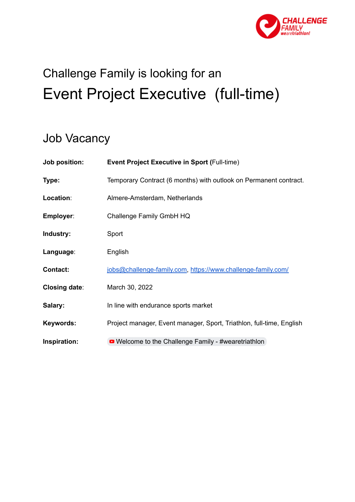

# Challenge Family is looking for an Event Project Executive (full-time)

# Job Vacancy

| Job position:        | <b>Event Project Executive in Sport (Full-time)</b>                  |
|----------------------|----------------------------------------------------------------------|
| Type:                | Temporary Contract (6 months) with outlook on Permanent contract.    |
| Location:            | Almere-Amsterdam, Netherlands                                        |
| Employer:            | Challenge Family GmbH HQ                                             |
| Industry:            | Sport                                                                |
| Language:            | English                                                              |
| <b>Contact:</b>      | jobs@challenge-family.com, https://www.challenge-family.com/         |
| <b>Closing date:</b> | March 30, 2022                                                       |
| Salary:              | In line with endurance sports market                                 |
| Keywords:            | Project manager, Event manager, Sport, Triathlon, full-time, English |
| Inspiration:         | • Welcome to the Challenge Family - #wearetriathlon                  |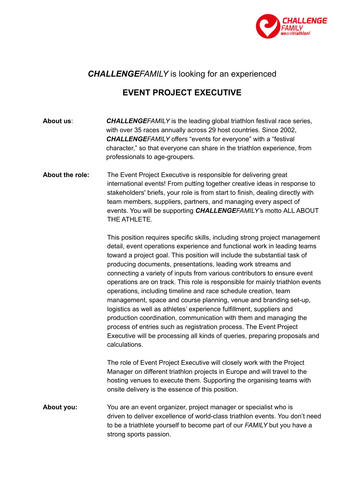

# *CHALLENGEFAMILY* is looking for an experienced

# **EVENT PROJECT EXECUTIVE**

**About us**: *CHALLENGEFAMILY* is the leading global triathlon festival race series, with over 35 races annually across 29 host countries. Since 2002, *CHALLENGEFAMILY* offers "events for everyone" with a "festival character," so that everyone can share in the triathlon experience, from professionals to age-groupers.

**About the role:** The Event Project Executive is responsible for delivering great international events! From putting together creative ideas in response to stakeholders' briefs, your role is from start to finish, dealing directly with team members, suppliers, partners, and managing every aspect of events. You will be supporting *CHALLENGEFAMILY'*s motto ALL ABOUT THE ATHLETE.

> This position requires specific skills, including strong project management detail, event operations experience and functional work in leading teams toward a project goal. This position will include the substantial task of producing documents, presentations, leading work streams and connecting a variety of inputs from various contributors to ensure event operations are on track. This role is responsible for mainly triathlon events operations, including timeline and race schedule creation, team management, space and course planning, venue and branding set-up, logistics as well as athletes' experience fulfillment, suppliers and production coordination, communication with them and managing the process of entries such as registration process. The Event Project Executive will be processing all kinds of queries, preparing proposals and calculations.

The role of Event Project Executive will closely work with the Project Manager on different triathlon projects in Europe and will travel to the hosting venues to execute them. Supporting the organising teams with onsite delivery is the essence of this position.

**About you:** You are an event organizer, project manager or specialist who is driven to deliver excellence of world-class triathlon events. You don't need to be a triathlete yourself to become part of our *FAMILY* but you have a strong sports passion.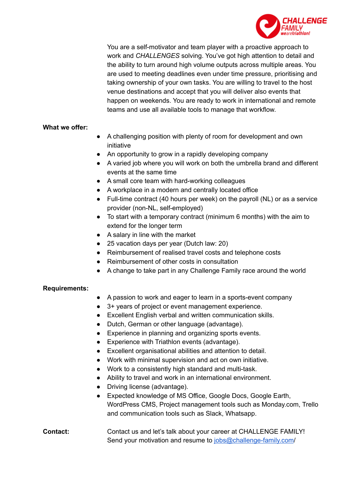

You are a self-motivator and team player with a proactive approach to work and *CHALLENGES* solving. You've got high attention to detail and the ability to turn around high volume outputs across multiple areas. You are used to meeting deadlines even under time pressure, prioritising and taking ownership of your own tasks. You are willing to travel to the host venue destinations and accept that you will deliver also events that happen on weekends. You are ready to work in international and remote teams and use all available tools to manage that workflow.

#### **What we offer:**

- A challenging position with plenty of room for development and own initiative
- An opportunity to grow in a rapidly developing company
- A varied job where you will work on both the umbrella brand and different events at the same time
- A small core team with hard-working colleagues
- A workplace in a modern and centrally located office
- Full-time contract (40 hours per week) on the payroll (NL) or as a service provider (non-NL, self-employed)
- To start with a temporary contract (minimum 6 months) with the aim to extend for the longer term
- A salary in line with the market
- 25 vacation days per year (Dutch law: 20)
- Reimbursement of realised travel costs and telephone costs
- Reimbursement of other costs in consultation
- A change to take part in any Challenge Family race around the world

#### **Requirements:**

- A passion to work and eager to learn in a sports-event company
- 3+ years of project or event management experience.
- Excellent English verbal and written communication skills.
- Dutch, German or other language (advantage).
- Experience in planning and organizing sports events.
- Experience with Triathlon events (advantage).
- Excellent organisational abilities and attention to detail.
- Work with minimal supervision and act on own initiative.
- Work to a consistently high standard and multi-task.
- Ability to travel and work in an international environment.
- Driving license (advantage).
- Expected knowledge of MS Office, Google Docs, Google Earth, WordPress CMS, Project management tools such as Monday.com, Trello and communication tools such as Slack, Whatsapp.

### **Contact:** Contact us and let's talk about your career at CHALLENGE FAMILY! Send your motivation and resume to [jobs@challenge-family.com](mailto:jobs@challenge-family.com)/